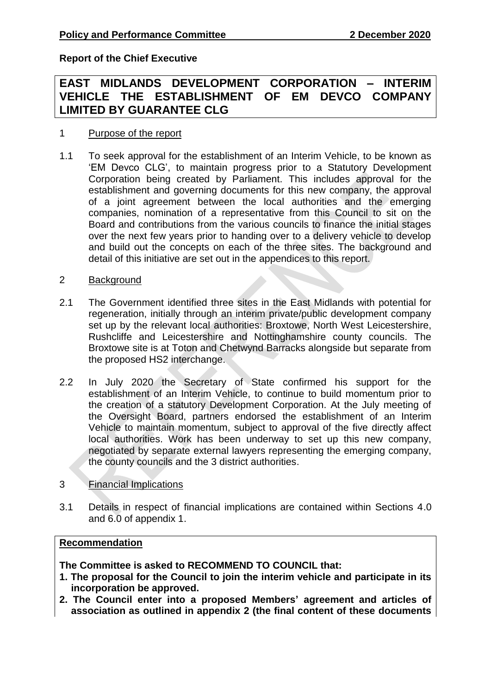**Report of the Chief Executive**

# **EAST MIDLANDS DEVELOPMENT CORPORATION – INTERIM VEHICLE THE ESTABLISHMENT OF EM DEVCO COMPANY LIMITED BY GUARANTEE CLG**

### 1 Purpose of the report

- 1.1 To seek approval for the establishment of an Interim Vehicle, to be known as 'EM Devco CLG', to maintain progress prior to a Statutory Development Corporation being created by Parliament. This includes approval for the establishment and governing documents for this new company, the approval of a joint agreement between the local authorities and the emerging companies, nomination of a representative from this Council to sit on the Board and contributions from the various councils to finance the initial stages over the next few years prior to handing over to a delivery vehicle to develop and build out the concepts on each of the three sites. The background and detail of this initiative are set out in the appendices to this report.
- 2 Background
- 2.1 The Government identified three sites in the East Midlands with potential for regeneration, initially through an interim private/public development company set up by the relevant local authorities: Broxtowe, North West Leicestershire, Rushcliffe and Leicestershire and Nottinghamshire county councils. The Broxtowe site is at Toton and Chetwynd Barracks alongside but separate from the proposed HS2 interchange.
- 2.2 In July 2020 the Secretary of State confirmed his support for the establishment of an Interim Vehicle, to continue to build momentum prior to the creation of a statutory Development Corporation. At the July meeting of the Oversight Board, partners endorsed the establishment of an Interim Vehicle to maintain momentum, subject to approval of the five directly affect local authorities. Work has been underway to set up this new company, negotiated by separate external lawyers representing the emerging company, the county councils and the 3 district authorities.
- 3 Financial Implications
- 3.1 Details in respect of financial implications are contained within Sections 4.0 and 6.0 of appendix 1.

#### **Recommendation**

**The Committee is asked to RECOMMEND TO COUNCIL that:**

- **1. The proposal for the Council to join the interim vehicle and participate in its incorporation be approved.**
- **2. The Council enter into a proposed Members' agreement and articles of association as outlined in appendix 2 (the final content of these documents**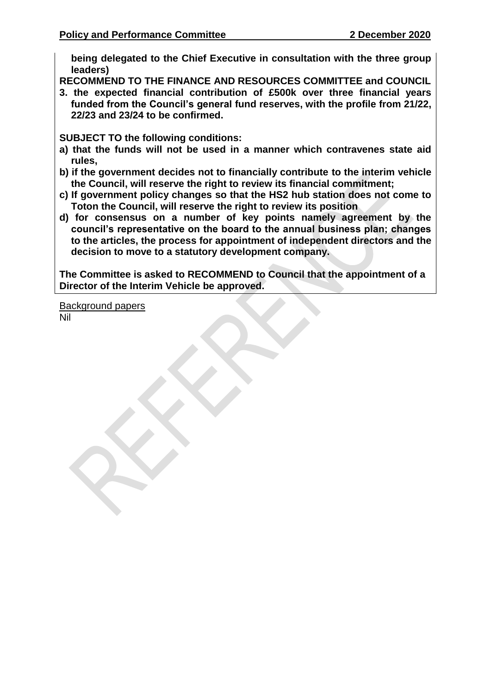**being delegated to the Chief Executive in consultation with the three group leaders)**

**RECOMMEND TO THE FINANCE AND RESOURCES COMMITTEE and COUNCIL**

**3. the expected financial contribution of £500k over three financial years funded from the Council's general fund reserves, with the profile from 21/22, 22/23 and 23/24 to be confirmed.**

**SUBJECT TO the following conditions:**

- **a) that the funds will not be used in a manner which contravenes state aid rules,**
- **b) if the government decides not to financially contribute to the interim vehicle the Council, will reserve the right to review its financial commitment;**
- **c) If government policy changes so that the HS2 hub station does not come to Toton the Council, will reserve the right to review its position**
- **d) for consensus on a number of key points namely agreement by the council's representative on the board to the annual business plan; changes to the articles, the process for appointment of independent directors and the decision to move to a statutory development company.**

**The Committee is asked to RECOMMEND to Council that the appointment of a Director of the Interim Vehicle be approved.**

Background papers Nil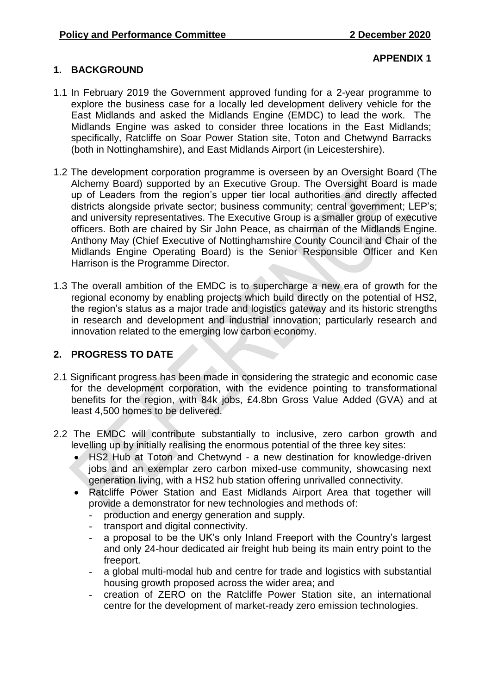### **1. BACKGROUND**

#### **APPENDIX 1**

- 1.1 In February 2019 the Government approved funding for a 2-year programme to explore the business case for a locally led development delivery vehicle for the East Midlands and asked the Midlands Engine (EMDC) to lead the work. The Midlands Engine was asked to consider three locations in the East Midlands; specifically, Ratcliffe on Soar Power Station site, Toton and Chetwynd Barracks (both in Nottinghamshire), and East Midlands Airport (in Leicestershire).
- 1.2 The development corporation programme is overseen by an Oversight Board (The Alchemy Board) supported by an Executive Group. The Oversight Board is made up of Leaders from the region's upper tier local authorities and directly affected districts alongside private sector; business community; central government; LEP's; and university representatives. The Executive Group is a smaller group of executive officers. Both are chaired by Sir John Peace, as chairman of the Midlands Engine. Anthony May (Chief Executive of Nottinghamshire County Council and Chair of the Midlands Engine Operating Board) is the Senior Responsible Officer and Ken Harrison is the Programme Director.
- 1.3 The overall ambition of the EMDC is to supercharge a new era of growth for the regional economy by enabling projects which build directly on the potential of HS2, the region's status as a major trade and logistics gateway and its historic strengths in research and development and industrial innovation; particularly research and innovation related to the emerging low carbon economy.

# **2. PROGRESS TO DATE**

- 2.1 Significant progress has been made in considering the strategic and economic case for the development corporation, with the evidence pointing to transformational benefits for the region, with 84k jobs, £4.8bn Gross Value Added (GVA) and at least 4,500 homes to be delivered.
- 2.2 The EMDC will contribute substantially to inclusive, zero carbon growth and levelling up by initially realising the enormous potential of the three key sites:
	- HS2 Hub at Toton and Chetwynd a new destination for knowledge-driven jobs and an exemplar zero carbon mixed-use community, showcasing next generation living, with a HS2 hub station offering unrivalled connectivity.
	- Ratcliffe Power Station and East Midlands Airport Area that together will provide a demonstrator for new technologies and methods of:
		- production and energy generation and supply.
		- transport and digital connectivity.
		- a proposal to be the UK's only Inland Freeport with the Country's largest and only 24-hour dedicated air freight hub being its main entry point to the freeport.
		- a global multi-modal hub and centre for trade and logistics with substantial housing growth proposed across the wider area; and
		- creation of ZERO on the Ratcliffe Power Station site, an international centre for the development of market-ready zero emission technologies.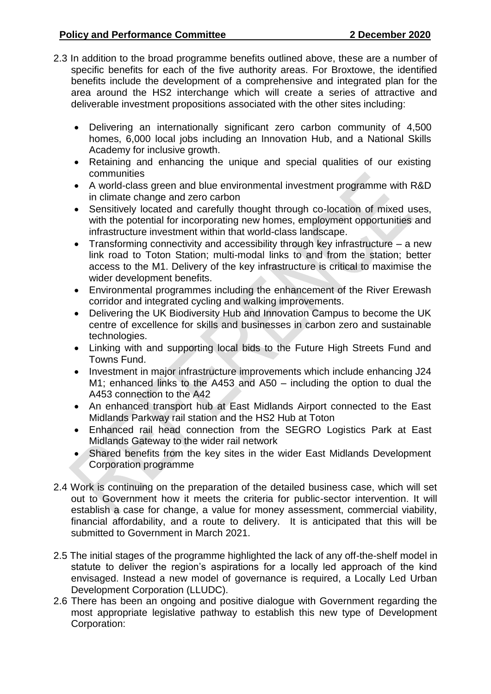- 2.3 In addition to the broad programme benefits outlined above, these are a number of specific benefits for each of the five authority areas. For Broxtowe, the identified benefits include the development of a comprehensive and integrated plan for the area around the HS2 interchange which will create a series of attractive and deliverable investment propositions associated with the other sites including:
	- Delivering an internationally significant zero carbon community of 4,500 homes, 6,000 local jobs including an Innovation Hub, and a National Skills Academy for inclusive growth.
	- Retaining and enhancing the unique and special qualities of our existing communities
	- A world-class green and blue environmental investment programme with R&D in climate change and zero carbon
	- Sensitively located and carefully thought through co-location of mixed uses, with the potential for incorporating new homes, employment opportunities and infrastructure investment within that world-class landscape.
	- Transforming connectivity and accessibility through key infrastructure a new link road to Toton Station; multi-modal links to and from the station; better access to the M1. Delivery of the key infrastructure is critical to maximise the wider development benefits.
	- Environmental programmes including the enhancement of the River Erewash corridor and integrated cycling and walking improvements.
	- Delivering the UK Biodiversity Hub and Innovation Campus to become the UK centre of excellence for skills and businesses in carbon zero and sustainable technologies.
	- Linking with and supporting local bids to the Future High Streets Fund and Towns Fund.
	- Investment in major infrastructure improvements which include enhancing J24 M1; enhanced links to the A453 and A50 – including the option to dual the A453 connection to the A42
	- An enhanced transport hub at East Midlands Airport connected to the East Midlands Parkway rail station and the HS2 Hub at Toton
	- Enhanced rail head connection from the SEGRO Logistics Park at East Midlands Gateway to the wider rail network
	- Shared benefits from the key sites in the wider East Midlands Development Corporation programme
- 2.4 Work is continuing on the preparation of the detailed business case, which will set out to Government how it meets the criteria for public-sector intervention. It will establish a case for change, a value for money assessment, commercial viability, financial affordability, and a route to delivery. It is anticipated that this will be submitted to Government in March 2021.
- 2.5 The initial stages of the programme highlighted the lack of any off-the-shelf model in statute to deliver the region's aspirations for a locally led approach of the kind envisaged. Instead a new model of governance is required, a Locally Led Urban Development Corporation (LLUDC).
- 2.6 There has been an ongoing and positive dialogue with Government regarding the most appropriate legislative pathway to establish this new type of Development Corporation: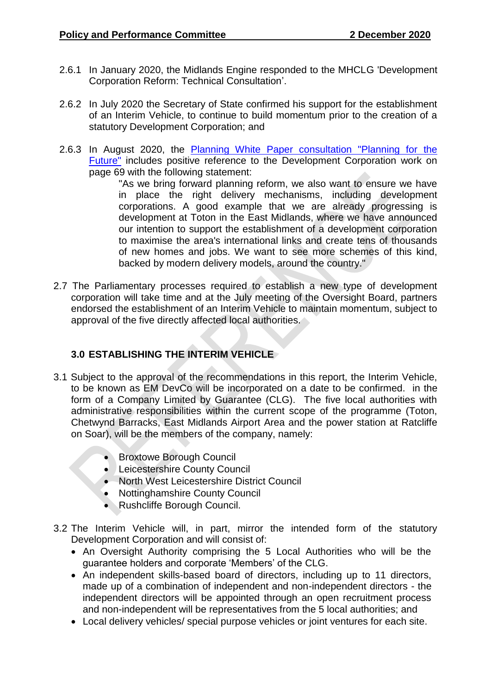- 2.6.1 In January 2020, the Midlands Engine responded to the MHCLG 'Development Corporation Reform: Technical Consultation'.
- 2.6.2 In July 2020 the Secretary of State confirmed his support for the establishment of an Interim Vehicle, to continue to build momentum prior to the creation of a statutory Development Corporation; and
- 2.6.3 In August 2020, the [Planning White Paper consultation "Planning for the](https://www.gov.uk/government/consultations/planning-for-the-future)  [Future"](https://www.gov.uk/government/consultations/planning-for-the-future) includes positive reference to the Development Corporation work on page 69 with the following statement:

"As we bring forward planning reform, we also want to ensure we have in place the right delivery mechanisms, including development corporations. A good example that we are already progressing is development at Toton in the East Midlands, where we have announced our intention to support the establishment of a development corporation to maximise the area's international links and create tens of thousands of new homes and jobs. We want to see more schemes of this kind, backed by modern delivery models, around the country."

2.7 The Parliamentary processes required to establish a new type of development corporation will take time and at the July meeting of the Oversight Board, partners endorsed the establishment of an Interim Vehicle to maintain momentum, subject to approval of the five directly affected local authorities.

### **3.0 ESTABLISHING THE INTERIM VEHICLE**

- 3.1 Subject to the approval of the recommendations in this report, the Interim Vehicle, to be known as EM DevCo will be incorporated on a date to be confirmed. in the form of a Company Limited by Guarantee (CLG). The five local authorities with administrative responsibilities within the current scope of the programme (Toton, Chetwynd Barracks, East Midlands Airport Area and the power station at Ratcliffe on Soar), will be the members of the company, namely:
	- **Broxtowe Borough Council**
	- Leicestershire County Council
	- North West Leicestershire District Council
	- Nottinghamshire County Council
	- Rushcliffe Borough Council.
- 3.2 The Interim Vehicle will, in part, mirror the intended form of the statutory Development Corporation and will consist of:
	- An Oversight Authority comprising the 5 Local Authorities who will be the guarantee holders and corporate 'Members' of the CLG.
	- An independent skills-based board of directors, including up to 11 directors, made up of a combination of independent and non-independent directors - the independent directors will be appointed through an open recruitment process and non-independent will be representatives from the 5 local authorities; and
	- Local delivery vehicles/ special purpose vehicles or joint ventures for each site.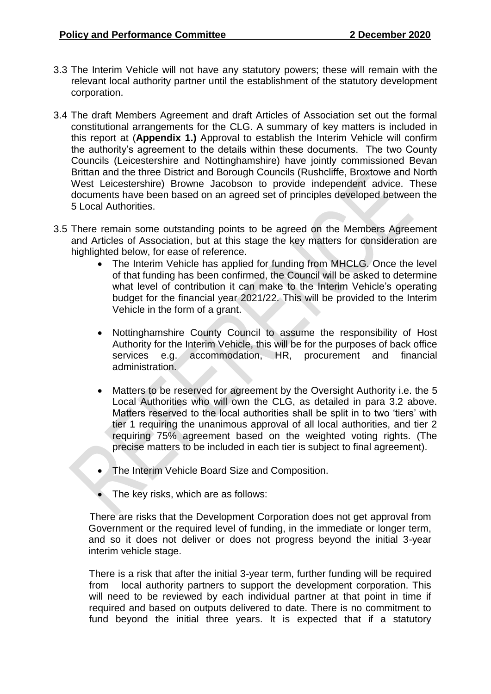- 3.3 The Interim Vehicle will not have any statutory powers; these will remain with the relevant local authority partner until the establishment of the statutory development corporation.
- 3.4 The draft Members Agreement and draft Articles of Association set out the formal constitutional arrangements for the CLG. A summary of key matters is included in this report at (**Appendix 1.)** Approval to establish the Interim Vehicle will confirm the authority's agreement to the details within these documents. The two County Councils (Leicestershire and Nottinghamshire) have jointly commissioned Bevan Brittan and the three District and Borough Councils (Rushcliffe, Broxtowe and North West Leicestershire) Browne Jacobson to provide independent advice. These documents have been based on an agreed set of principles developed between the 5 Local Authorities.
- 3.5 There remain some outstanding points to be agreed on the Members Agreement and Articles of Association, but at this stage the key matters for consideration are highlighted below, for ease of reference.
	- The Interim Vehicle has applied for funding from MHCLG. Once the level of that funding has been confirmed, the Council will be asked to determine what level of contribution it can make to the Interim Vehicle's operating budget for the financial year 2021/22. This will be provided to the Interim Vehicle in the form of a grant.
	- Nottinghamshire County Council to assume the responsibility of Host Authority for the Interim Vehicle, this will be for the purposes of back office services e.g. accommodation, HR, procurement and financial administration.
	- Matters to be reserved for agreement by the Oversight Authority i.e. the 5 Local Authorities who will own the CLG, as detailed in para 3.2 above. Matters reserved to the local authorities shall be split in to two 'tiers' with tier 1 requiring the unanimous approval of all local authorities, and tier 2 requiring 75% agreement based on the weighted voting rights. (The precise matters to be included in each tier is subject to final agreement).
	- The Interim Vehicle Board Size and Composition.
	- The key risks, which are as follows:

 There are risks that the Development Corporation does not get approval from Government or the required level of funding, in the immediate or longer term, and so it does not deliver or does not progress beyond the initial 3-year interim vehicle stage.

There is a risk that after the initial 3-year term, further funding will be required from local authority partners to support the development corporation. This will need to be reviewed by each individual partner at that point in time if required and based on outputs delivered to date. There is no commitment to fund beyond the initial three years. It is expected that if a statutory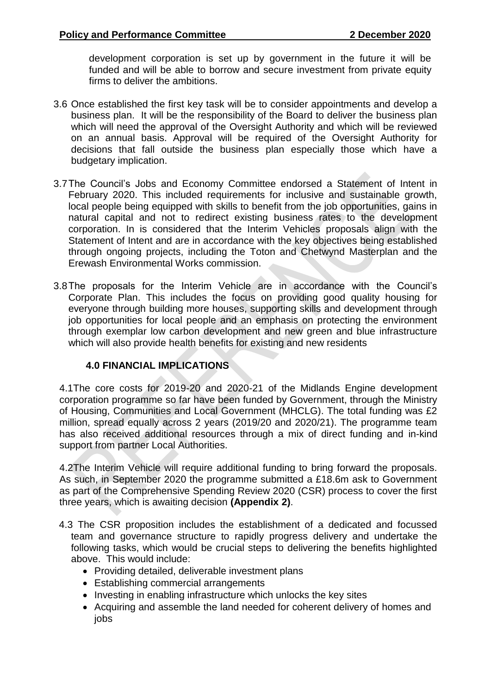development corporation is set up by government in the future it will be funded and will be able to borrow and secure investment from private equity firms to deliver the ambitions.

- 3.6 Once established the first key task will be to consider appointments and develop a business plan. It will be the responsibility of the Board to deliver the business plan which will need the approval of the Oversight Authority and which will be reviewed on an annual basis. Approval will be required of the Oversight Authority for decisions that fall outside the business plan especially those which have a budgetary implication.
- 3.7The Council's Jobs and Economy Committee endorsed a Statement of Intent in February 2020. This included requirements for inclusive and sustainable growth, local people being equipped with skills to benefit from the job opportunities, gains in natural capital and not to redirect existing business rates to the development corporation. In is considered that the Interim Vehicles proposals align with the Statement of Intent and are in accordance with the key objectives being established through ongoing projects, including the Toton and Chetwynd Masterplan and the Erewash Environmental Works commission.
- 3.8The proposals for the Interim Vehicle are in accordance with the Council's Corporate Plan. This includes the focus on providing good quality housing for everyone through building more houses, supporting skills and development through job opportunities for local people and an emphasis on protecting the environment through exemplar low carbon development and new green and blue infrastructure which will also provide health benefits for existing and new residents

### **4.0 FINANCIAL IMPLICATIONS**

4.1The core costs for 2019-20 and 2020-21 of the Midlands Engine development corporation programme so far have been funded by Government, through the Ministry of Housing, Communities and Local Government (MHCLG). The total funding was £2 million, spread equally across 2 years (2019/20 and 2020/21). The programme team has also received additional resources through a mix of direct funding and in-kind support from partner Local Authorities.

4.2The Interim Vehicle will require additional funding to bring forward the proposals. As such, in September 2020 the programme submitted a £18.6m ask to Government as part of the Comprehensive Spending Review 2020 (CSR) process to cover the first three years, which is awaiting decision **(Appendix 2)**.

- 4.3 The CSR proposition includes the establishment of a dedicated and focussed team and governance structure to rapidly progress delivery and undertake the following tasks, which would be crucial steps to delivering the benefits highlighted above. This would include:
	- Providing detailed, deliverable investment plans
	- Establishing commercial arrangements
	- Investing in enabling infrastructure which unlocks the key sites
	- Acquiring and assemble the land needed for coherent delivery of homes and iobs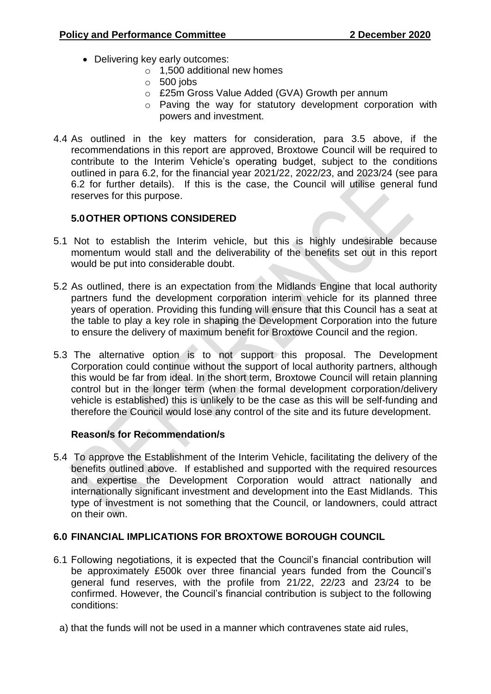- Delivering key early outcomes:
	- o 1,500 additional new homes
	- $\circ$  500 jobs
	- o £25m Gross Value Added (GVA) Growth per annum
	- o Paving the way for statutory development corporation with powers and investment.
- 4.4 As outlined in the key matters for consideration, para 3.5 above, if the recommendations in this report are approved, Broxtowe Council will be required to contribute to the Interim Vehicle's operating budget, subject to the conditions outlined in para 6.2, for the financial year 2021/22, 2022/23, and 2023/24 (see para 6.2 for further details). If this is the case, the Council will utilise general fund reserves for this purpose.

## **5.0OTHER OPTIONS CONSIDERED**

- 5.1 Not to establish the Interim vehicle, but this is highly undesirable because momentum would stall and the deliverability of the benefits set out in this report would be put into considerable doubt.
- 5.2 As outlined, there is an expectation from the Midlands Engine that local authority partners fund the development corporation interim vehicle for its planned three years of operation. Providing this funding will ensure that this Council has a seat at the table to play a key role in shaping the Development Corporation into the future to ensure the delivery of maximum benefit for Broxtowe Council and the region.
- 5.3 The alternative option is to not support this proposal. The Development Corporation could continue without the support of local authority partners, although this would be far from ideal. In the short term, Broxtowe Council will retain planning control but in the longer term (when the formal development corporation/delivery vehicle is established) this is unlikely to be the case as this will be self-funding and therefore the Council would lose any control of the site and its future development.

### **Reason/s for Recommendation/s**

5.4 To approve the Establishment of the Interim Vehicle, facilitating the delivery of the benefits outlined above. If established and supported with the required resources and expertise the Development Corporation would attract nationally and internationally significant investment and development into the East Midlands. This type of investment is not something that the Council, or landowners, could attract on their own.

### **6.0 FINANCIAL IMPLICATIONS FOR BROXTOWE BOROUGH COUNCIL**

- 6.1 Following negotiations, it is expected that the Council's financial contribution will be approximately £500k over three financial years funded from the Council's general fund reserves, with the profile from 21/22, 22/23 and 23/24 to be confirmed. However, the Council's financial contribution is subject to the following conditions:
	- a) that the funds will not be used in a manner which contravenes state aid rules,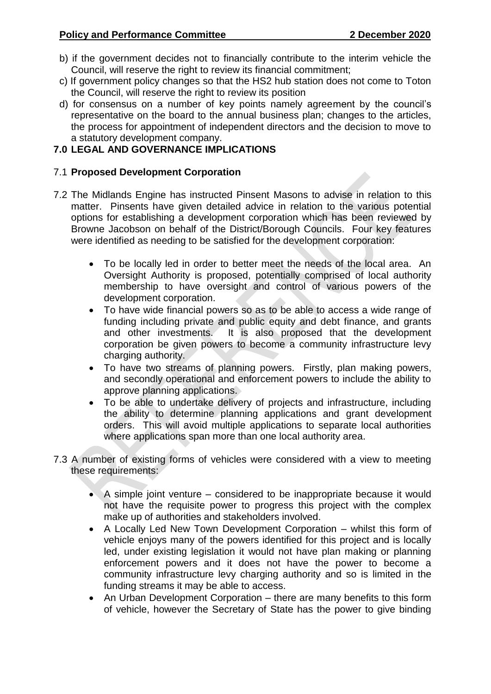- b) if the government decides not to financially contribute to the interim vehicle the Council, will reserve the right to review its financial commitment:
- c) If government policy changes so that the HS2 hub station does not come to Toton the Council, will reserve the right to review its position
- d) for consensus on a number of key points namely agreement by the council's representative on the board to the annual business plan; changes to the articles, the process for appointment of independent directors and the decision to move to a statutory development company.

### **7.0 LEGAL AND GOVERNANCE IMPLICATIONS**

#### 7.1 **Proposed Development Corporation**

- 7.2 The Midlands Engine has instructed Pinsent Masons to advise in relation to this matter. Pinsents have given detailed advice in relation to the various potential options for establishing a development corporation which has been reviewed by Browne Jacobson on behalf of the District/Borough Councils. Four key features were identified as needing to be satisfied for the development corporation:
	- To be locally led in order to better meet the needs of the local area. An Oversight Authority is proposed, potentially comprised of local authority membership to have oversight and control of various powers of the development corporation.
	- To have wide financial powers so as to be able to access a wide range of funding including private and public equity and debt finance, and grants and other investments. It is also proposed that the development corporation be given powers to become a community infrastructure levy charging authority.
	- To have two streams of planning powers. Firstly, plan making powers, and secondly operational and enforcement powers to include the ability to approve planning applications.
	- To be able to undertake delivery of projects and infrastructure, including the ability to determine planning applications and grant development orders. This will avoid multiple applications to separate local authorities where applications span more than one local authority area.
- 7.3 A number of existing forms of vehicles were considered with a view to meeting these requirements:
	- A simple joint venture considered to be inappropriate because it would not have the requisite power to progress this project with the complex make up of authorities and stakeholders involved.
	- A Locally Led New Town Development Corporation whilst this form of vehicle enjoys many of the powers identified for this project and is locally led, under existing legislation it would not have plan making or planning enforcement powers and it does not have the power to become a community infrastructure levy charging authority and so is limited in the funding streams it may be able to access.
	- An Urban Development Corporation there are many benefits to this form of vehicle, however the Secretary of State has the power to give binding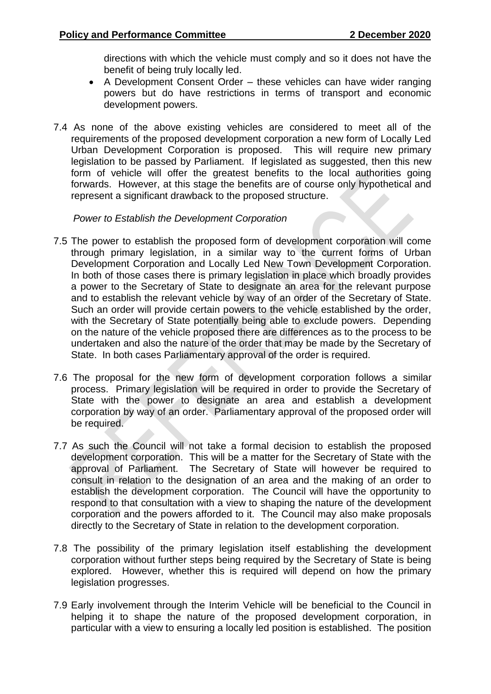directions with which the vehicle must comply and so it does not have the benefit of being truly locally led.

- A Development Consent Order these vehicles can have wider ranging powers but do have restrictions in terms of transport and economic development powers.
- 7.4 As none of the above existing vehicles are considered to meet all of the requirements of the proposed development corporation a new form of Locally Led Urban Development Corporation is proposed. This will require new primary legislation to be passed by Parliament. If legislated as suggested, then this new form of vehicle will offer the greatest benefits to the local authorities going forwards. However, at this stage the benefits are of course only hypothetical and represent a significant drawback to the proposed structure.

#### *Power to Establish the Development Corporation*

- 7.5 The power to establish the proposed form of development corporation will come through primary legislation, in a similar way to the current forms of Urban Development Corporation and Locally Led New Town Development Corporation. In both of those cases there is primary legislation in place which broadly provides a power to the Secretary of State to designate an area for the relevant purpose and to establish the relevant vehicle by way of an order of the Secretary of State. Such an order will provide certain powers to the vehicle established by the order, with the Secretary of State potentially being able to exclude powers. Depending on the nature of the vehicle proposed there are differences as to the process to be undertaken and also the nature of the order that may be made by the Secretary of State. In both cases Parliamentary approval of the order is required.
- 7.6 The proposal for the new form of development corporation follows a similar process. Primary legislation will be required in order to provide the Secretary of State with the power to designate an area and establish a development corporation by way of an order. Parliamentary approval of the proposed order will be required.
- 7.7 As such the Council will not take a formal decision to establish the proposed development corporation. This will be a matter for the Secretary of State with the approval of Parliament. The Secretary of State will however be required to consult in relation to the designation of an area and the making of an order to establish the development corporation. The Council will have the opportunity to respond to that consultation with a view to shaping the nature of the development corporation and the powers afforded to it. The Council may also make proposals directly to the Secretary of State in relation to the development corporation.
- 7.8 The possibility of the primary legislation itself establishing the development corporation without further steps being required by the Secretary of State is being explored. However, whether this is required will depend on how the primary legislation progresses.
- 7.9 Early involvement through the Interim Vehicle will be beneficial to the Council in helping it to shape the nature of the proposed development corporation, in particular with a view to ensuring a locally led position is established. The position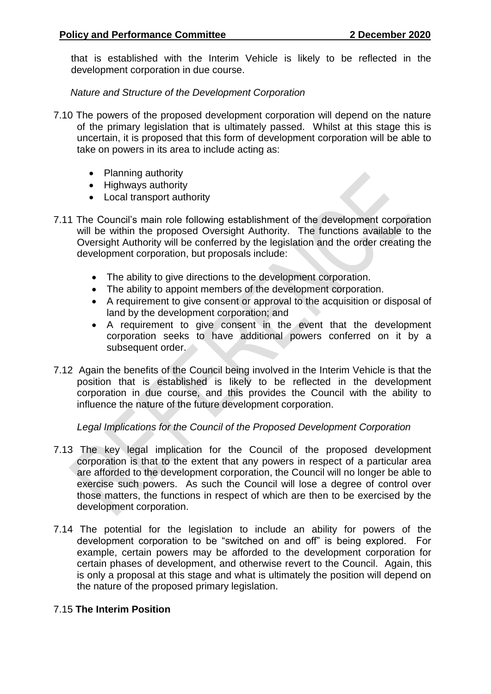that is established with the Interim Vehicle is likely to be reflected in the development corporation in due course.

 *Nature and Structure of the Development Corporation*

- 7.10 The powers of the proposed development corporation will depend on the nature of the primary legislation that is ultimately passed. Whilst at this stage this is uncertain, it is proposed that this form of development corporation will be able to take on powers in its area to include acting as:
	- Planning authority
	- Highways authority
	- Local transport authority
- 7.11 The Council's main role following establishment of the development corporation will be within the proposed Oversight Authority. The functions available to the Oversight Authority will be conferred by the legislation and the order creating the development corporation, but proposals include:
	- The ability to give directions to the development corporation.
	- The ability to appoint members of the development corporation.
	- A requirement to give consent or approval to the acquisition or disposal of land by the development corporation; and
	- A requirement to give consent in the event that the development corporation seeks to have additional powers conferred on it by a subsequent order.
- 7.12 Again the benefits of the Council being involved in the Interim Vehicle is that the position that is established is likely to be reflected in the development corporation in due course, and this provides the Council with the ability to influence the nature of the future development corporation.

### *Legal Implications for the Council of the Proposed Development Corporation*

- 7.13 The key legal implication for the Council of the proposed development corporation is that to the extent that any powers in respect of a particular area are afforded to the development corporation, the Council will no longer be able to exercise such powers. As such the Council will lose a degree of control over those matters, the functions in respect of which are then to be exercised by the development corporation.
- 7.14 The potential for the legislation to include an ability for powers of the development corporation to be "switched on and off" is being explored. For example, certain powers may be afforded to the development corporation for certain phases of development, and otherwise revert to the Council. Again, this is only a proposal at this stage and what is ultimately the position will depend on the nature of the proposed primary legislation.

### 7.15 **The Interim Position**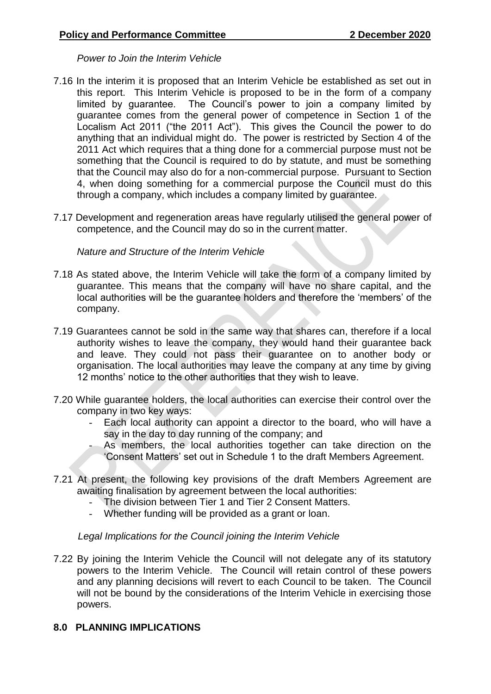*Power to Join the Interim Vehicle*

- 7.16 In the interim it is proposed that an Interim Vehicle be established as set out in this report. This Interim Vehicle is proposed to be in the form of a company limited by guarantee. The Council's power to join a company limited by guarantee comes from the general power of competence in Section 1 of the Localism Act 2011 ("the 2011 Act"). This gives the Council the power to do anything that an individual might do. The power is restricted by Section 4 of the 2011 Act which requires that a thing done for a commercial purpose must not be something that the Council is required to do by statute, and must be something that the Council may also do for a non-commercial purpose. Pursuant to Section 4, when doing something for a commercial purpose the Council must do this through a company, which includes a company limited by guarantee.
- 7.17 Development and regeneration areas have regularly utilised the general power of competence, and the Council may do so in the current matter.

*Nature and Structure of the Interim Vehicle*

- 7.18 As stated above, the Interim Vehicle will take the form of a company limited by guarantee. This means that the company will have no share capital, and the local authorities will be the guarantee holders and therefore the 'members' of the company.
- 7.19 Guarantees cannot be sold in the same way that shares can, therefore if a local authority wishes to leave the company, they would hand their guarantee back and leave. They could not pass their guarantee on to another body or organisation. The local authorities may leave the company at any time by giving 12 months' notice to the other authorities that they wish to leave.
- 7.20 While guarantee holders, the local authorities can exercise their control over the company in two key ways:
	- Each local authority can appoint a director to the board, who will have a say in the day to day running of the company; and
		- As members, the local authorities together can take direction on the 'Consent Matters' set out in Schedule 1 to the draft Members Agreement.
- 7.21 At present, the following key provisions of the draft Members Agreement are awaiting finalisation by agreement between the local authorities:
	- The division between Tier 1 and Tier 2 Consent Matters.<br>- Whether funding will be provided as a grant or loan
	- Whether funding will be provided as a grant or loan.

#### *Legal Implications for the Council joining the Interim Vehicle*

7.22 By joining the Interim Vehicle the Council will not delegate any of its statutory powers to the Interim Vehicle. The Council will retain control of these powers and any planning decisions will revert to each Council to be taken. The Council will not be bound by the considerations of the Interim Vehicle in exercising those powers.

### **8.0 PLANNING IMPLICATIONS**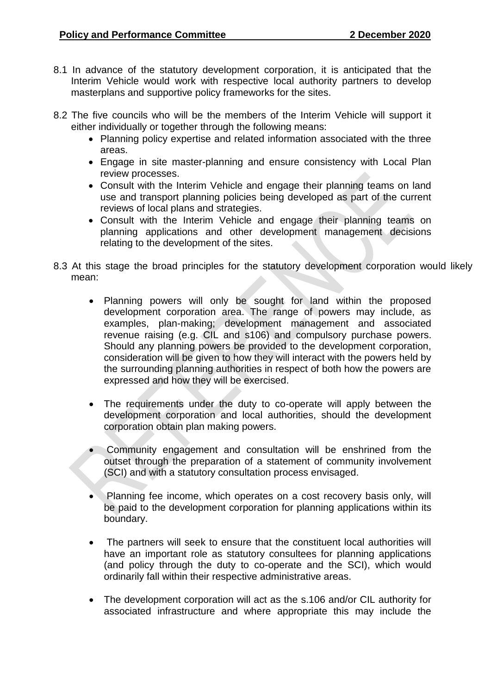- 8.1 In advance of the statutory development corporation, it is anticipated that the Interim Vehicle would work with respective local authority partners to develop masterplans and supportive policy frameworks for the sites.
- 8.2 The five councils who will be the members of the Interim Vehicle will support it either individually or together through the following means:
	- Planning policy expertise and related information associated with the three areas.
	- Engage in site master-planning and ensure consistency with Local Plan review processes.
	- Consult with the Interim Vehicle and engage their planning teams on land use and transport planning policies being developed as part of the current reviews of local plans and strategies.
	- Consult with the Interim Vehicle and engage their planning teams on planning applications and other development management decisions relating to the development of the sites.
- 8.3 At this stage the broad principles for the statutory development corporation would likely mean:
	- Planning powers will only be sought for land within the proposed development corporation area. The range of powers may include, as examples, plan-making; development management and associated revenue raising (e.g. CIL and s106) and compulsory purchase powers. Should any planning powers be provided to the development corporation, consideration will be given to how they will interact with the powers held by the surrounding planning authorities in respect of both how the powers are expressed and how they will be exercised.
	- The requirements under the duty to co-operate will apply between the development corporation and local authorities, should the development corporation obtain plan making powers.
	- Community engagement and consultation will be enshrined from the outset through the preparation of a statement of community involvement (SCI) and with a statutory consultation process envisaged.
	- Planning fee income, which operates on a cost recovery basis only, will be paid to the development corporation for planning applications within its boundary.
	- The partners will seek to ensure that the constituent local authorities will have an important role as statutory consultees for planning applications (and policy through the duty to co-operate and the SCI), which would ordinarily fall within their respective administrative areas.
	- The development corporation will act as the s.106 and/or CIL authority for associated infrastructure and where appropriate this may include the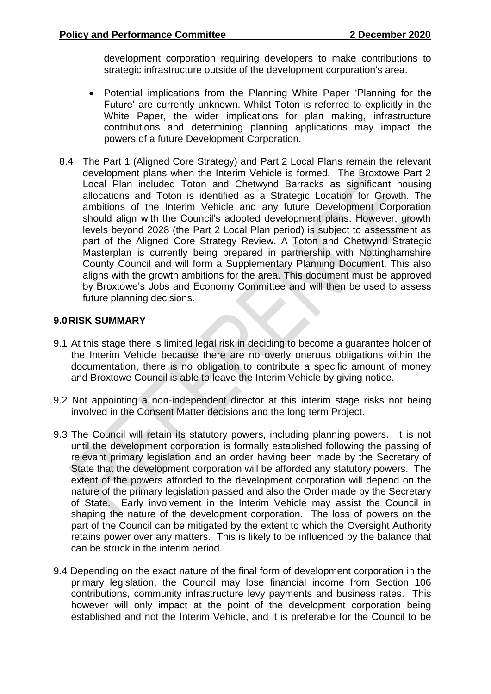development corporation requiring developers to make contributions to strategic infrastructure outside of the development corporation's area.

- Potential implications from the Planning White Paper 'Planning for the Future' are currently unknown. Whilst Toton is referred to explicitly in the White Paper, the wider implications for plan making, infrastructure contributions and determining planning applications may impact the powers of a future Development Corporation.
- 8.4 The Part 1 (Aligned Core Strategy) and Part 2 Local Plans remain the relevant development plans when the Interim Vehicle is formed. The Broxtowe Part 2 Local Plan included Toton and Chetwynd Barracks as significant housing allocations and Toton is identified as a Strategic Location for Growth. The ambitions of the Interim Vehicle and any future Development Corporation should align with the Council's adopted development plans. However, growth levels beyond 2028 (the Part 2 Local Plan period) is subject to assessment as part of the Aligned Core Strategy Review. A Toton and Chetwynd Strategic Masterplan is currently being prepared in partnership with Nottinghamshire County Council and will form a Supplementary Planning Document. This also aligns with the growth ambitions for the area. This document must be approved by Broxtowe's Jobs and Economy Committee and will then be used to assess future planning decisions.

#### **9.0RISK SUMMARY**

- 9.1 At this stage there is limited legal risk in deciding to become a guarantee holder of the Interim Vehicle because there are no overly onerous obligations within the documentation, there is no obligation to contribute a specific amount of money and Broxtowe Council is able to leave the Interim Vehicle by giving notice.
- 9.2 Not appointing a non-independent director at this interim stage risks not being involved in the Consent Matter decisions and the long term Project.
- 9.3 The Council will retain its statutory powers, including planning powers. It is not until the development corporation is formally established following the passing of relevant primary legislation and an order having been made by the Secretary of State that the development corporation will be afforded any statutory powers. The extent of the powers afforded to the development corporation will depend on the nature of the primary legislation passed and also the Order made by the Secretary of State. Early involvement in the Interim Vehicle may assist the Council in shaping the nature of the development corporation. The loss of powers on the part of the Council can be mitigated by the extent to which the Oversight Authority retains power over any matters. This is likely to be influenced by the balance that can be struck in the interim period.
- 9.4 Depending on the exact nature of the final form of development corporation in the primary legislation, the Council may lose financial income from Section 106 contributions, community infrastructure levy payments and business rates. This however will only impact at the point of the development corporation being established and not the Interim Vehicle, and it is preferable for the Council to be